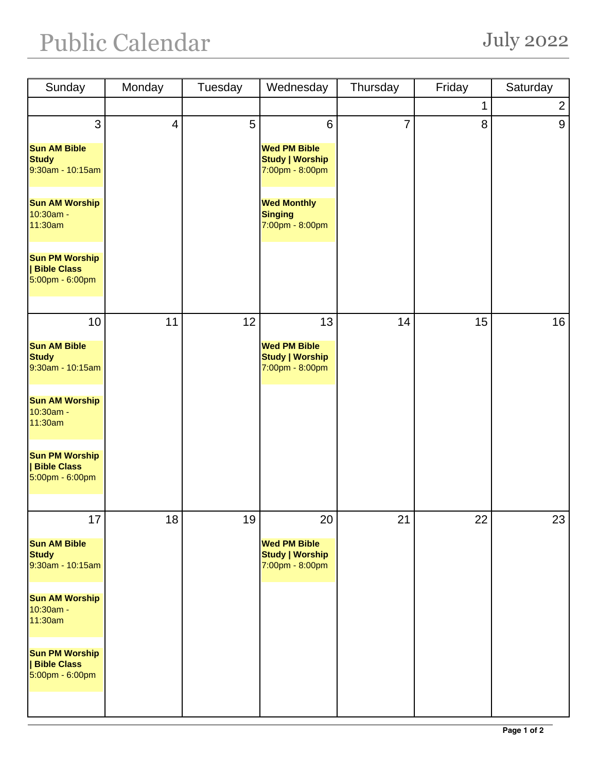## Public Calendar July 2022

| Sunday                                                         | Monday                   | Tuesday | Wednesday                                                        | Thursday | Friday | Saturday       |
|----------------------------------------------------------------|--------------------------|---------|------------------------------------------------------------------|----------|--------|----------------|
|                                                                |                          |         |                                                                  |          | 1      | $\overline{2}$ |
| 3                                                              | $\overline{\mathcal{A}}$ | 5       | $6\phantom{1}6$                                                  | 7        | 8      | 9              |
| <b>Sun AM Bible</b><br><b>Study</b><br>9:30am - 10:15am        |                          |         | <b>Wed PM Bible</b><br><b>Study   Worship</b><br>7:00pm - 8:00pm |          |        |                |
| <b>Sun AM Worship</b><br>10:30am -<br>11:30am                  |                          |         | <b>Wed Monthly</b><br><b>Singing</b><br>7:00pm - 8:00pm          |          |        |                |
| <b>Sun PM Worship</b><br><b>Bible Class</b><br>5:00pm - 6:00pm |                          |         |                                                                  |          |        |                |
| 10                                                             | 11                       | 12      | 13                                                               | 14       | 15     | 16             |
| <b>Sun AM Bible</b><br><b>Study</b><br>9:30am - 10:15am        |                          |         | <b>Wed PM Bible</b><br><b>Study   Worship</b><br>7:00pm - 8:00pm |          |        |                |
| <b>Sun AM Worship</b><br>10:30am -<br>11:30am                  |                          |         |                                                                  |          |        |                |
| <b>Sun PM Worship</b><br><b>Bible Class</b><br>5:00pm - 6:00pm |                          |         |                                                                  |          |        |                |
| 17                                                             | 18                       | 19      | 20                                                               | 21       | 22     | 23             |
| <b>Sun AM Bible</b><br><b>Study</b><br>9:30am - 10:15am        |                          |         | <b>Wed PM Bible</b><br><b>Study   Worship</b><br>7:00pm - 8:00pm |          |        |                |
| <b>Sun AM Worship</b><br>10:30am -<br>11:30am                  |                          |         |                                                                  |          |        |                |
| <b>Sun PM Worship</b><br><b>Bible Class</b><br>5:00pm - 6:00pm |                          |         |                                                                  |          |        |                |
|                                                                |                          |         |                                                                  |          |        |                |